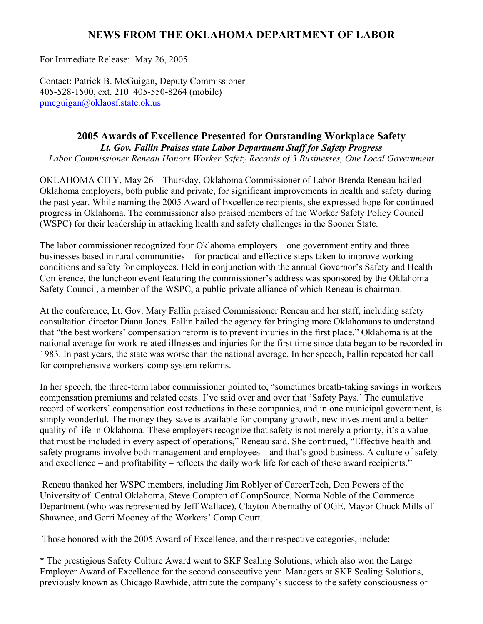## **NEWS FROM THE OKLAHOMA DEPARTMENT OF LABOR**

For Immediate Release: May 26, 2005

Contact: Patrick B. McGuigan, Deputy Commissioner 405-528-1500, ext. 210 405-550-8264 (mobile) [pmcguigan@oklaosf.state.ok.us](mailto:pmcguigan@oklaosf.state.ok.us)

## **2005 Awards of Excellence Presented for Outstanding Workplace Safety**  *Lt. Gov. Fallin Praises state Labor Department Staff for Safety Progress*

*Labor Commissioner Reneau Honors Worker Safety Records of 3 Businesses, One Local Government*

OKLAHOMA CITY, May 26 – Thursday, Oklahoma Commissioner of Labor Brenda Reneau hailed Oklahoma employers, both public and private, for significant improvements in health and safety during the past year. While naming the 2005 Award of Excellence recipients, she expressed hope for continued progress in Oklahoma. The commissioner also praised members of the Worker Safety Policy Council (WSPC) for their leadership in attacking health and safety challenges in the Sooner State.

The labor commissioner recognized four Oklahoma employers – one government entity and three businesses based in rural communities – for practical and effective steps taken to improve working conditions and safety for employees. Held in conjunction with the annual Governor's Safety and Health Conference, the luncheon event featuring the commissioner's address was sponsored by the Oklahoma Safety Council, a member of the WSPC, a public-private alliance of which Reneau is chairman.

At the conference, Lt. Gov. Mary Fallin praised Commissioner Reneau and her staff, including safety consultation director Diana Jones. Fallin hailed the agency for bringing more Oklahomans to understand that "the best workers' compensation reform is to prevent injuries in the first place." Oklahoma is at the national average for work-related illnesses and injuries for the first time since data began to be recorded in 1983. In past years, the state was worse than the national average. In her speech, Fallin repeated her call for comprehensive workers' comp system reforms.

In her speech, the three-term labor commissioner pointed to, "sometimes breath-taking savings in workers compensation premiums and related costs. I've said over and over that 'Safety Pays.' The cumulative record of workers' compensation cost reductions in these companies, and in one municipal government, is simply wonderful. The money they save is available for company growth, new investment and a better quality of life in Oklahoma. These employers recognize that safety is not merely a priority, it's a value that must be included in every aspect of operations," Reneau said. She continued, "Effective health and safety programs involve both management and employees – and that's good business. A culture of safety and excellence – and profitability – reflects the daily work life for each of these award recipients."

 Reneau thanked her WSPC members, including Jim Roblyer of CareerTech, Don Powers of the University of Central Oklahoma, Steve Compton of CompSource, Norma Noble of the Commerce Department (who was represented by Jeff Wallace), Clayton Abernathy of OGE, Mayor Chuck Mills of Shawnee, and Gerri Mooney of the Workers' Comp Court.

Those honored with the 2005 Award of Excellence, and their respective categories, include:

\* The prestigious Safety Culture Award went to SKF Sealing Solutions, which also won the Large Employer Award of Excellence for the second consecutive year. Managers at SKF Sealing Solutions, previously known as Chicago Rawhide, attribute the company's success to the safety consciousness of